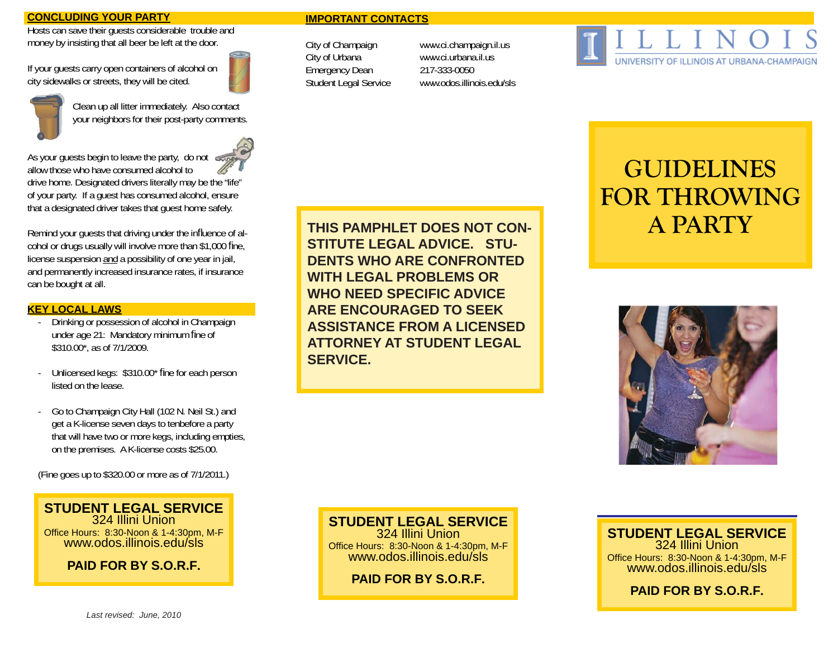### **CONCLUDING YOUR PARTY**

Hosts can save their guests considerable trouble and money by insisting that all beer be left at the door.

If your guests carry open containers of alcohol on city sidewalks or streets, they will be cited.





 Clean up all litter immediately. Also contact your neighbors for their post-party comments.

As your guests begin to leave the party, do not



allow those who have consumed alcohol todrive home. Designated drivers literally may be the "life" of your party. If a guest has consumed alcohol, ensure that a designated driver takes that guest home safely.

Remind your guests that driving under the influence of alcohol or drugs usually will involve more than \$1,000 fine, license suspension and a possibility of one year in jail, and permanently increased insurance rates, if insurance can be bought at all.

### **KEY LOCAL LAWS**

- Drinking or possession of alcohol in Champaign under age 21: Mandatory minimum fine of \$310.00\*, as of 7/1/2009.
- Unlicensed kegs: \$310.00\* fine for each person listed on the lease.
- Go to Champaign City Hall (102 N. Neil St.) and get a K-license seven days to tenbefore a party that will have two or more kegs, including empties, on the premises. A K-license costs \$25.00.

(Fine goes up to \$320.00 or more as of 7/1/2011.)

**STUDENT LEGAL SERVICE**324 Illini UnionOffice Hours: 8:30-Noon & 1-4:30pm, M-F www.odos.illinois.edu/sls

**PAID FOR BY S.O.R.F.**

### **THIS PAMPHLET DOES NOT CON-STITUTE LEGAL ADVICE. STU-DENTS WHO ARE CONFRONTED WITH LEGAL PROBLEMS OR WHO NEED SPECIFIC ADVICE ARE ENCOURAGED TO SEEK ASSISTANCE FROM A LICENSED ATTORNEY AT STUDENT LEGAL SERVICE.**

**IMPORTANT CONTACTS**

City of Champaign www.ci.champaign.il.us City of Urbana www.ci.urbana.il.us Emergency Dean 217-333-0050

Student Legal Service www.odos.illinois.edu/sls

# UNIVERSITY OF ILLINOIS AT URBANA-CHAMPAIGN

# **GUIDELINES FOR THROWINGA PARTY**



## **STUDENT LEGAL SERVICE**

324 Illini UnionOffice Hours: 8:30-Noon & 1-4:30pm, M-F www.odos.illinois.edu/sls

**PAID FOR BY S.O.R.F.**

### **STUDENT LEGAL SERVICE**324 Illini Union

Office Hours: 8:30-Noon & 1-4:30pm, M-F www.odos.illinois.edu/sls

**PAID FOR BY S.O.R.F.**